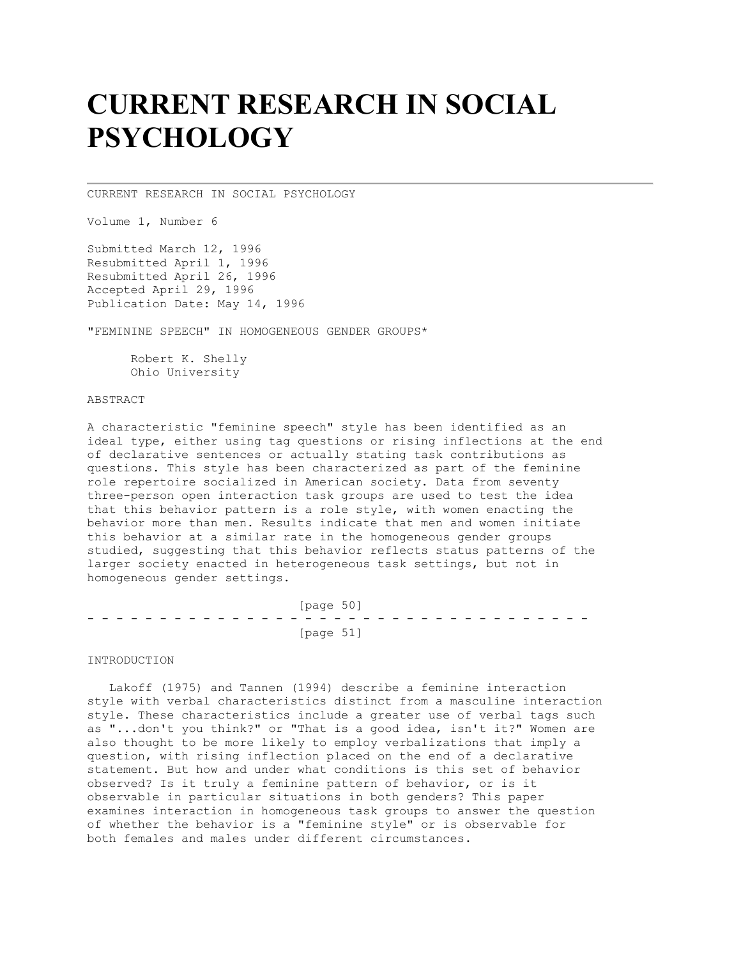# **CURRENT RESEARCH IN SOCIAL PSYCHOLOGY**

CURRENT RESEARCH IN SOCIAL PSYCHOLOGY

Volume 1, Number 6

Submitted March 12, 1996 Resubmitted April 1, 1996 Resubmitted April 26, 1996 Accepted April 29, 1996 Publication Date: May 14, 1996

"FEMININE SPEECH" IN HOMOGENEOUS GENDER GROUPS\*

 Robert K. Shelly Ohio University

## ABSTRACT

A characteristic "feminine speech" style has been identified as an ideal type, either using tag questions or rising inflections at the end of declarative sentences or actually stating task contributions as questions. This style has been characterized as part of the feminine role repertoire socialized in American society. Data from seventy three-person open interaction task groups are used to test the idea that this behavior pattern is a role style, with women enacting the behavior more than men. Results indicate that men and women initiate this behavior at a similar rate in the homogeneous gender groups studied, suggesting that this behavior reflects status patterns of the larger society enacted in heterogeneous task settings, but not in homogeneous gender settings.

| [page 50] |  |  |  |  |  |  |  |  |  |  |  |  |  |  |  |           |  |  |  |  |  |  |  |  |  |  |  |  |  |  |  |  |  |
|-----------|--|--|--|--|--|--|--|--|--|--|--|--|--|--|--|-----------|--|--|--|--|--|--|--|--|--|--|--|--|--|--|--|--|--|
|           |  |  |  |  |  |  |  |  |  |  |  |  |  |  |  |           |  |  |  |  |  |  |  |  |  |  |  |  |  |  |  |  |  |
|           |  |  |  |  |  |  |  |  |  |  |  |  |  |  |  | [page 51] |  |  |  |  |  |  |  |  |  |  |  |  |  |  |  |  |  |

INTRODUCTION

 Lakoff (1975) and Tannen (1994) describe a feminine interaction style with verbal characteristics distinct from a masculine interaction style. These characteristics include a greater use of verbal tags such as "...don't you think?" or "That is a good idea, isn't it?" Women are also thought to be more likely to employ verbalizations that imply a question, with rising inflection placed on the end of a declarative statement. But how and under what conditions is this set of behavior observed? Is it truly a feminine pattern of behavior, or is it observable in particular situations in both genders? This paper examines interaction in homogeneous task groups to answer the question of whether the behavior is a "feminine style" or is observable for both females and males under different circumstances.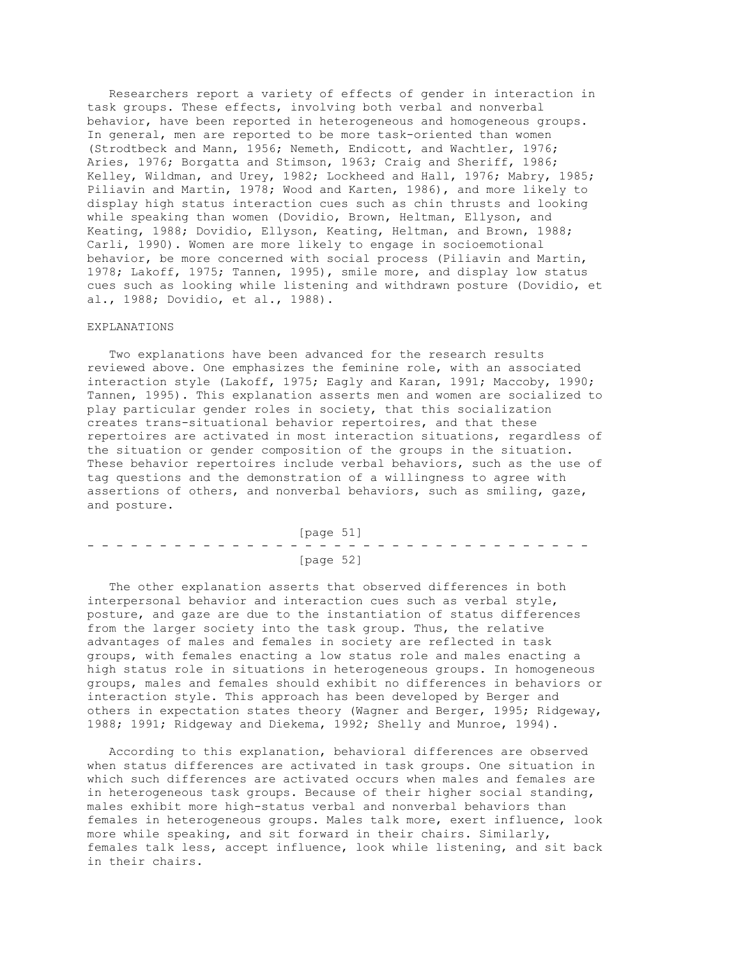Researchers report a variety of effects of gender in interaction in task groups. These effects, involving both verbal and nonverbal behavior, have been reported in heterogeneous and homogeneous groups. In general, men are reported to be more task-oriented than women (Strodtbeck and Mann, 1956; Nemeth, Endicott, and Wachtler, 1976; Aries, 1976; Borgatta and Stimson, 1963; Craig and Sheriff, 1986; Kelley, Wildman, and Urey, 1982; Lockheed and Hall, 1976; Mabry, 1985; Piliavin and Martin, 1978; Wood and Karten, 1986), and more likely to display high status interaction cues such as chin thrusts and looking while speaking than women (Dovidio, Brown, Heltman, Ellyson, and Keating, 1988; Dovidio, Ellyson, Keating, Heltman, and Brown, 1988; Carli, 1990). Women are more likely to engage in socioemotional behavior, be more concerned with social process (Piliavin and Martin, 1978; Lakoff, 1975; Tannen, 1995), smile more, and display low status cues such as looking while listening and withdrawn posture (Dovidio, et al., 1988; Dovidio, et al., 1988).

### EXPLANATIONS

 Two explanations have been advanced for the research results reviewed above. One emphasizes the feminine role, with an associated interaction style (Lakoff, 1975; Eagly and Karan, 1991; Maccoby, 1990; Tannen, 1995). This explanation asserts men and women are socialized to play particular gender roles in society, that this socialization creates trans-situational behavior repertoires, and that these repertoires are activated in most interaction situations, regardless of the situation or gender composition of the groups in the situation. These behavior repertoires include verbal behaviors, such as the use of tag questions and the demonstration of a willingness to agree with assertions of others, and nonverbal behaviors, such as smiling, gaze, and posture.

 [page 51] - - - - - - - - - - - - - - - - - - - - - - - - - - - - - - - - - - - [page 52]

 The other explanation asserts that observed differences in both interpersonal behavior and interaction cues such as verbal style, posture, and gaze are due to the instantiation of status differences from the larger society into the task group. Thus, the relative advantages of males and females in society are reflected in task groups, with females enacting a low status role and males enacting a high status role in situations in heterogeneous groups. In homogeneous groups, males and females should exhibit no differences in behaviors or interaction style. This approach has been developed by Berger and others in expectation states theory (Wagner and Berger, 1995; Ridgeway, 1988; 1991; Ridgeway and Diekema, 1992; Shelly and Munroe, 1994).

 According to this explanation, behavioral differences are observed when status differences are activated in task groups. One situation in which such differences are activated occurs when males and females are in heterogeneous task groups. Because of their higher social standing, males exhibit more high-status verbal and nonverbal behaviors than females in heterogeneous groups. Males talk more, exert influence, look more while speaking, and sit forward in their chairs. Similarly, females talk less, accept influence, look while listening, and sit back in their chairs.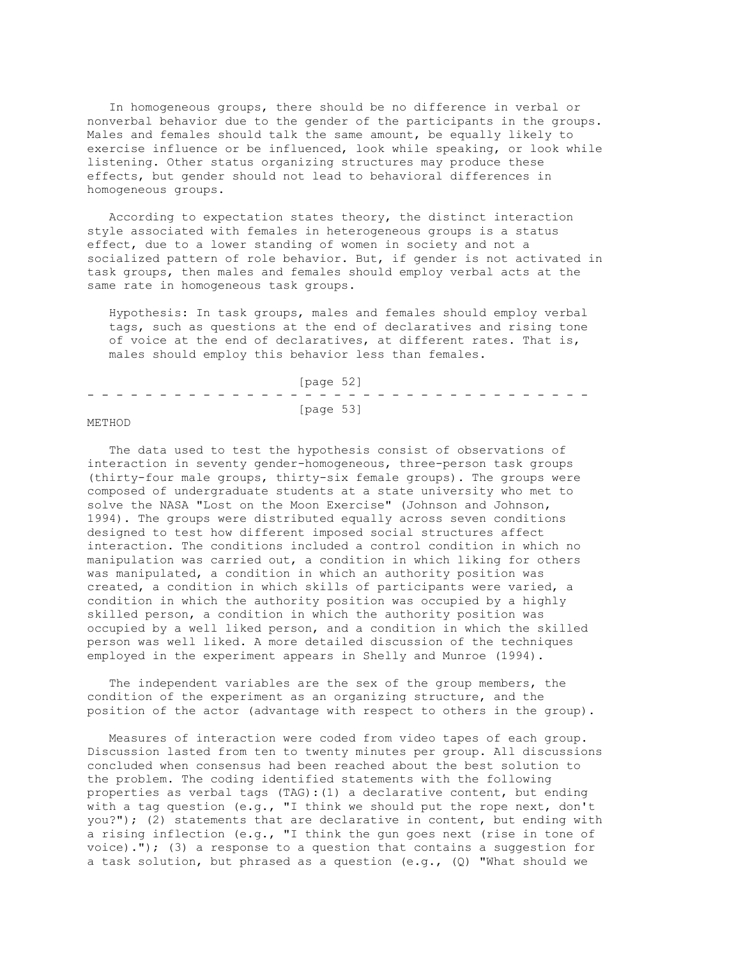In homogeneous groups, there should be no difference in verbal or nonverbal behavior due to the gender of the participants in the groups. Males and females should talk the same amount, be equally likely to exercise influence or be influenced, look while speaking, or look while listening. Other status organizing structures may produce these effects, but gender should not lead to behavioral differences in homogeneous groups.

 According to expectation states theory, the distinct interaction style associated with females in heterogeneous groups is a status effect, due to a lower standing of women in society and not a socialized pattern of role behavior. But, if gender is not activated in task groups, then males and females should employ verbal acts at the same rate in homogeneous task groups.

 Hypothesis: In task groups, males and females should employ verbal tags, such as questions at the end of declaratives and rising tone of voice at the end of declaratives, at different rates. That is, males should employ this behavior less than females.

|  |  |  |  |  |  | [page 52] |  |  |  |  |  |  |  |
|--|--|--|--|--|--|-----------|--|--|--|--|--|--|--|
|  |  |  |  |  |  |           |  |  |  |  |  |  |  |
|  |  |  |  |  |  | [page 53] |  |  |  |  |  |  |  |

## METHOD

 The data used to test the hypothesis consist of observations of interaction in seventy gender-homogeneous, three-person task groups (thirty-four male groups, thirty-six female groups). The groups were composed of undergraduate students at a state university who met to solve the NASA "Lost on the Moon Exercise" (Johnson and Johnson, 1994). The groups were distributed equally across seven conditions designed to test how different imposed social structures affect interaction. The conditions included a control condition in which no manipulation was carried out, a condition in which liking for others was manipulated, a condition in which an authority position was created, a condition in which skills of participants were varied, a condition in which the authority position was occupied by a highly skilled person, a condition in which the authority position was occupied by a well liked person, and a condition in which the skilled person was well liked. A more detailed discussion of the techniques employed in the experiment appears in Shelly and Munroe (1994).

 The independent variables are the sex of the group members, the condition of the experiment as an organizing structure, and the position of the actor (advantage with respect to others in the group).

 Measures of interaction were coded from video tapes of each group. Discussion lasted from ten to twenty minutes per group. All discussions concluded when consensus had been reached about the best solution to the problem. The coding identified statements with the following properties as verbal tags (TAG):(1) a declarative content, but ending with a tag question (e.g., "I think we should put the rope next, don't you?"); (2) statements that are declarative in content, but ending with a rising inflection (e.g., "I think the gun goes next (rise in tone of voice)."); (3) a response to a question that contains a suggestion for a task solution, but phrased as a question (e.g., (Q) "What should we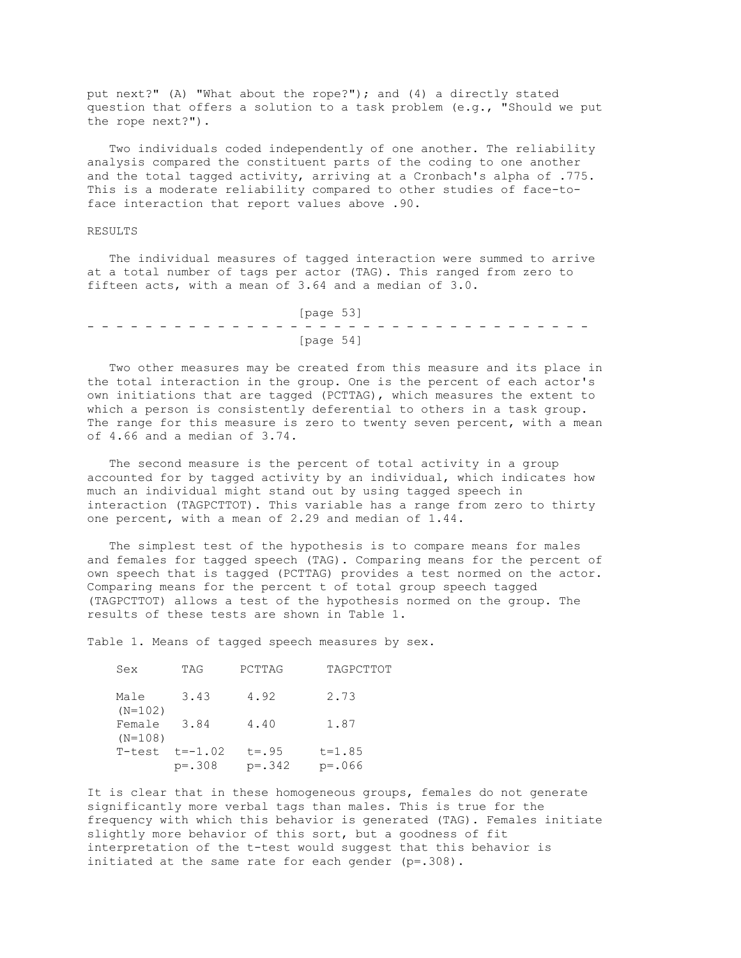put next?" (A) "What about the rope?"); and (4) a directly stated question that offers a solution to a task problem (e.g., "Should we put the rope next?").

 Two individuals coded independently of one another. The reliability analysis compared the constituent parts of the coding to one another and the total tagged activity, arriving at a Cronbach's alpha of .775. This is a moderate reliability compared to other studies of face-toface interaction that report values above .90.

#### RESULTS

 The individual measures of tagged interaction were summed to arrive at a total number of tags per actor (TAG). This ranged from zero to fifteen acts, with a mean of 3.64 and a median of 3.0.

 [page 53] - - - - - - - - - - - - - - - - - - - - - - - - - - - - - - - - - - - [page 54]

 Two other measures may be created from this measure and its place in the total interaction in the group. One is the percent of each actor's own initiations that are tagged (PCTTAG), which measures the extent to which a person is consistently deferential to others in a task group. The range for this measure is zero to twenty seven percent, with a mean of 4.66 and a median of 3.74.

 The second measure is the percent of total activity in a group accounted for by tagged activity by an individual, which indicates how much an individual might stand out by using tagged speech in interaction (TAGPCTTOT). This variable has a range from zero to thirty one percent, with a mean of 2.29 and median of 1.44.

 The simplest test of the hypothesis is to compare means for males and females for tagged speech (TAG). Comparing means for the percent of own speech that is tagged (PCTTAG) provides a test normed on the actor. Comparing means for the percent t of total group speech tagged (TAGPCTTOT) allows a test of the hypothesis normed on the group. The results of these tests are shown in Table 1.

Table 1. Means of tagged speech measures by sex.

 Sex TAG PCTTAG TAGPCTTOT Male 3.43 4.92 2.73 (N=102) Female 3.84 4.40 1.87  $(N=108)$  $T-test$   $t=-1.02$   $t=.95$   $t=1.85$ p=.308 p=.342 p=.066

It is clear that in these homogeneous groups, females do not generate significantly more verbal tags than males. This is true for the frequency with which this behavior is generated (TAG). Females initiate slightly more behavior of this sort, but a goodness of fit interpretation of the t-test would suggest that this behavior is initiated at the same rate for each gender (p=.308).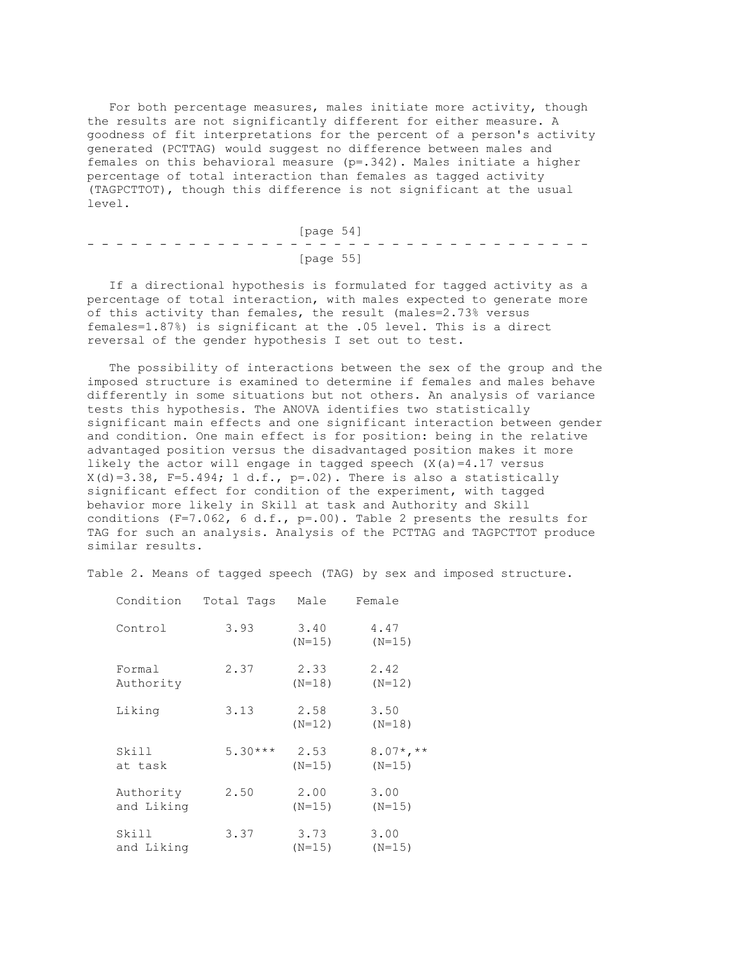For both percentage measures, males initiate more activity, though the results are not significantly different for either measure. A goodness of fit interpretations for the percent of a person's activity generated (PCTTAG) would suggest no difference between males and females on this behavioral measure (p=.342). Males initiate a higher percentage of total interaction than females as tagged activity (TAGPCTTOT), though this difference is not significant at the usual level.

|  |  |  |  |  | [page 54] |  |  |  |  |  |  |  |  |
|--|--|--|--|--|-----------|--|--|--|--|--|--|--|--|
|  |  |  |  |  |           |  |  |  |  |  |  |  |  |
|  |  |  |  |  | [page 55] |  |  |  |  |  |  |  |  |

 If a directional hypothesis is formulated for tagged activity as a percentage of total interaction, with males expected to generate more of this activity than females, the result (males=2.73% versus females=1.87%) is significant at the .05 level. This is a direct reversal of the gender hypothesis I set out to test.

 The possibility of interactions between the sex of the group and the imposed structure is examined to determine if females and males behave differently in some situations but not others. An analysis of variance tests this hypothesis. The ANOVA identifies two statistically significant main effects and one significant interaction between gender and condition. One main effect is for position: being in the relative advantaged position versus the disadvantaged position makes it more likely the actor will engage in tagged speech  $(X(a)=4.17$  versus  $X(d)=3.38$ , F=5.494; 1 d.f., p=.02). There is also a statistically significant effect for condition of the experiment, with tagged behavior more likely in Skill at task and Authority and Skill conditions (F=7.062, 6 d.f., p=.00). Table 2 presents the results for TAG for such an analysis. Analysis of the PCTTAG and TAGPCTTOT produce similar results.

Table 2. Means of tagged speech (TAG) by sex and imposed structure.

| Condition               | Total Tags | Male             | Female                  |
|-------------------------|------------|------------------|-------------------------|
| Control                 | 3.93       | 3.40<br>$(N=15)$ | 4.47<br>$(N=15)$        |
| Formal<br>Authority     | 2.37       | 2.33<br>$(N=18)$ | 2.42<br>$(N=12)$        |
| Liking                  | 3.13       | 2.58<br>$(N=12)$ | 3.50<br>$(N=18)$        |
| Skill<br>at task        | $5.30***$  | 2.53<br>$(N=15)$ | $8.07*, **$<br>$(N=15)$ |
| Authority<br>and Liking | 2.50       | 2.00<br>$(N=15)$ | 3.00<br>$(N=15)$        |
| Skill<br>and Liking     | 3.37       | 3.73<br>$(N=15)$ | 3.00<br>$(N=15)$        |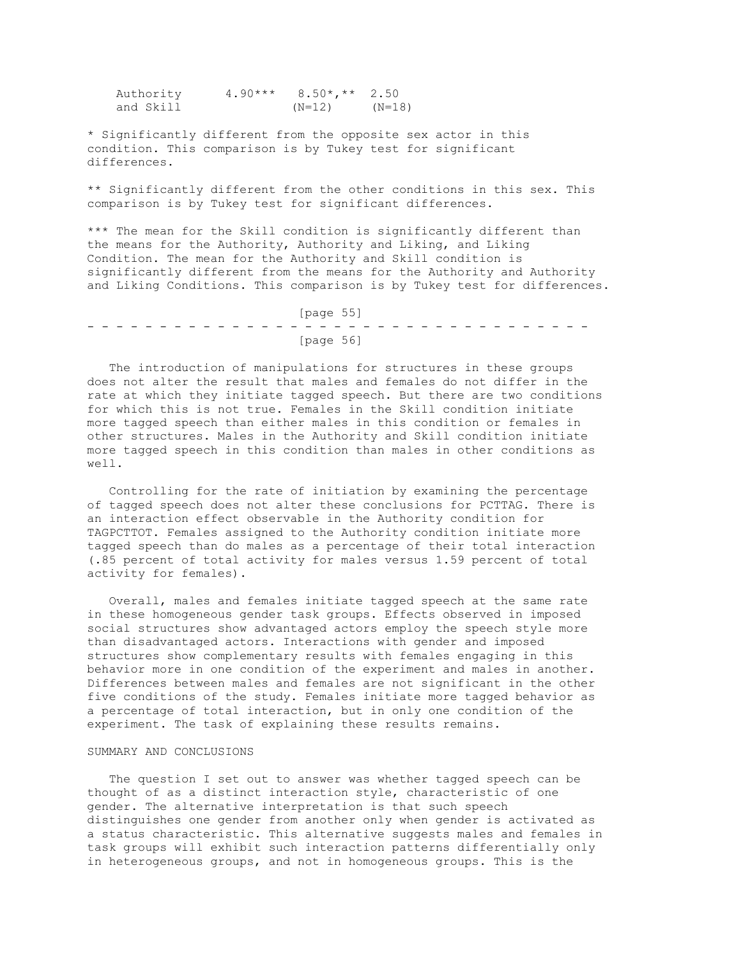Authority 4.90\*\*\* 8.50\*,\*\* 2.50 and Skill (N=12) (N=18)

\* Significantly different from the opposite sex actor in this condition. This comparison is by Tukey test for significant differences.

\*\* Significantly different from the other conditions in this sex. This comparison is by Tukey test for significant differences.

\*\*\* The mean for the Skill condition is significantly different than the means for the Authority, Authority and Liking, and Liking Condition. The mean for the Authority and Skill condition is significantly different from the means for the Authority and Authority and Liking Conditions. This comparison is by Tukey test for differences.

 [page 55] - - - - - - - - - - - - - - - - - - - - - - - - - - - - - - - - - - - [page 56]

 The introduction of manipulations for structures in these groups does not alter the result that males and females do not differ in the rate at which they initiate tagged speech. But there are two conditions for which this is not true. Females in the Skill condition initiate more tagged speech than either males in this condition or females in other structures. Males in the Authority and Skill condition initiate more tagged speech in this condition than males in other conditions as well.

 Controlling for the rate of initiation by examining the percentage of tagged speech does not alter these conclusions for PCTTAG. There is an interaction effect observable in the Authority condition for TAGPCTTOT. Females assigned to the Authority condition initiate more tagged speech than do males as a percentage of their total interaction (.85 percent of total activity for males versus 1.59 percent of total activity for females).

 Overall, males and females initiate tagged speech at the same rate in these homogeneous gender task groups. Effects observed in imposed social structures show advantaged actors employ the speech style more than disadvantaged actors. Interactions with gender and imposed structures show complementary results with females engaging in this behavior more in one condition of the experiment and males in another. Differences between males and females are not significant in the other five conditions of the study. Females initiate more tagged behavior as a percentage of total interaction, but in only one condition of the experiment. The task of explaining these results remains.

## SUMMARY AND CONCLUSIONS

 The question I set out to answer was whether tagged speech can be thought of as a distinct interaction style, characteristic of one gender. The alternative interpretation is that such speech distinguishes one gender from another only when gender is activated as a status characteristic. This alternative suggests males and females in task groups will exhibit such interaction patterns differentially only in heterogeneous groups, and not in homogeneous groups. This is the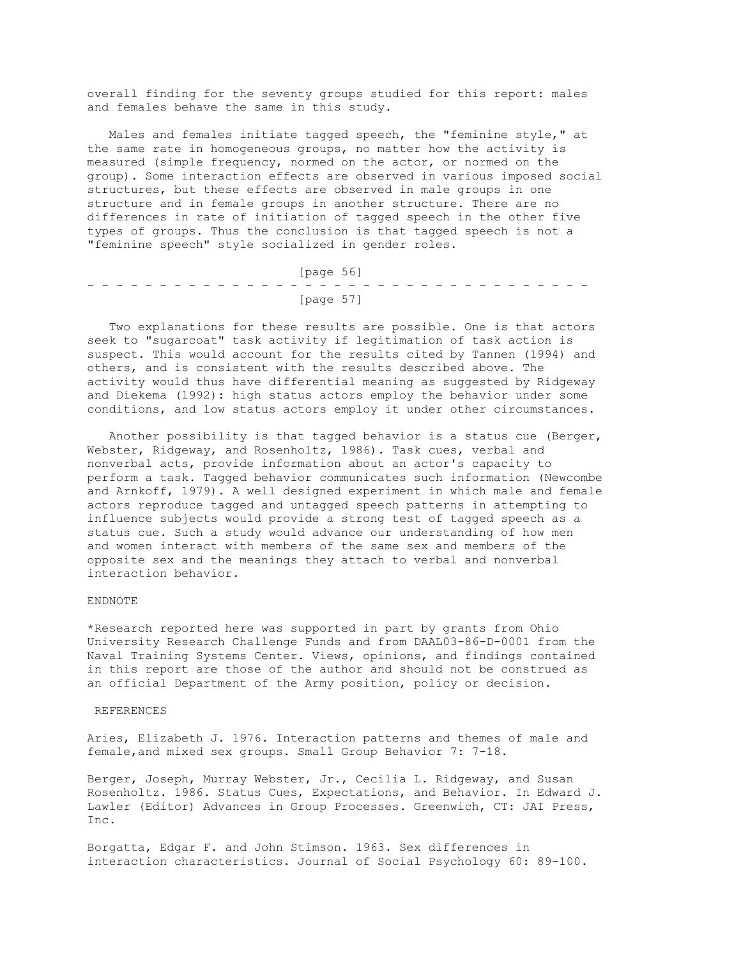overall finding for the seventy groups studied for this report: males and females behave the same in this study.

 Males and females initiate tagged speech, the "feminine style," at the same rate in homogeneous groups, no matter how the activity is measured (simple frequency, normed on the actor, or normed on the group). Some interaction effects are observed in various imposed social structures, but these effects are observed in male groups in one structure and in female groups in another structure. There are no differences in rate of initiation of tagged speech in the other five types of groups. Thus the conclusion is that tagged speech is not a "feminine speech" style socialized in gender roles.

| [page 56] |  |  |  |  |  |  |  |  |  |  |  |  |  |  |           |  |  |  |  |  |  |  |  |  |
|-----------|--|--|--|--|--|--|--|--|--|--|--|--|--|--|-----------|--|--|--|--|--|--|--|--|--|
|           |  |  |  |  |  |  |  |  |  |  |  |  |  |  |           |  |  |  |  |  |  |  |  |  |
|           |  |  |  |  |  |  |  |  |  |  |  |  |  |  | [page 57] |  |  |  |  |  |  |  |  |  |

 Two explanations for these results are possible. One is that actors seek to "sugarcoat" task activity if legitimation of task action is suspect. This would account for the results cited by Tannen (1994) and others, and is consistent with the results described above. The activity would thus have differential meaning as suggested by Ridgeway and Diekema (1992): high status actors employ the behavior under some conditions, and low status actors employ it under other circumstances.

 Another possibility is that tagged behavior is a status cue (Berger, Webster, Ridgeway, and Rosenholtz, 1986). Task cues, verbal and nonverbal acts, provide information about an actor's capacity to perform a task. Tagged behavior communicates such information (Newcombe and Arnkoff, 1979). A well designed experiment in which male and female actors reproduce tagged and untagged speech patterns in attempting to influence subjects would provide a strong test of tagged speech as a status cue. Such a study would advance our understanding of how men and women interact with members of the same sex and members of the opposite sex and the meanings they attach to verbal and nonverbal interaction behavior.

#### ENDNOTE

\*Research reported here was supported in part by grants from Ohio University Research Challenge Funds and from DAAL03-86-D-0001 from the Naval Training Systems Center. Views, opinions, and findings contained in this report are those of the author and should not be construed as an official Department of the Army position, policy or decision.

#### REFERENCES

Aries, Elizabeth J. 1976. Interaction patterns and themes of male and female,and mixed sex groups. Small Group Behavior 7: 7-18.

Berger, Joseph, Murray Webster, Jr., Cecilia L. Ridgeway, and Susan Rosenholtz. 1986. Status Cues, Expectations, and Behavior. In Edward J. Lawler (Editor) Advances in Group Processes. Greenwich, CT: JAI Press, Inc.

Borgatta, Edgar F. and John Stimson. 1963. Sex differences in interaction characteristics. Journal of Social Psychology 60: 89-100.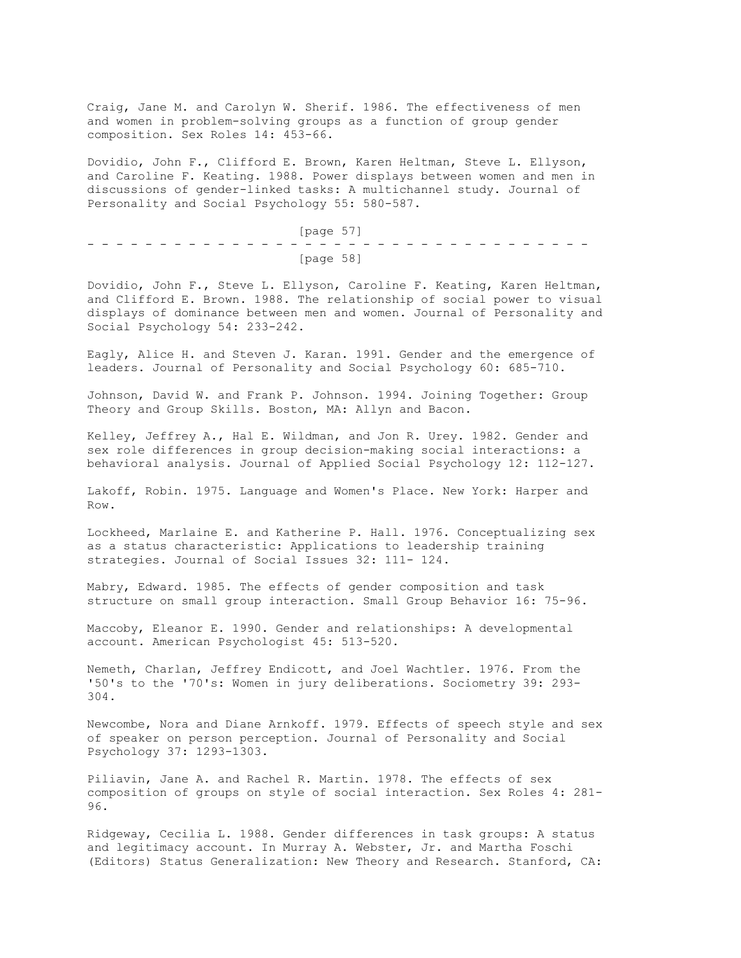Craig, Jane M. and Carolyn W. Sherif. 1986. The effectiveness of men and women in problem-solving groups as a function of group gender composition. Sex Roles 14: 453-66.

Dovidio, John F., Clifford E. Brown, Karen Heltman, Steve L. Ellyson, and Caroline F. Keating. 1988. Power displays between women and men in discussions of gender-linked tasks: A multichannel study. Journal of Personality and Social Psychology 55: 580-587.

 [page 57] - - - - - - - - - - - - - - - - - - - - - - - - - - - - - - - - - - - [page 58]

Dovidio, John F., Steve L. Ellyson, Caroline F. Keating, Karen Heltman, and Clifford E. Brown. 1988. The relationship of social power to visual displays of dominance between men and women. Journal of Personality and Social Psychology 54: 233-242.

Eagly, Alice H. and Steven J. Karan. 1991. Gender and the emergence of leaders. Journal of Personality and Social Psychology 60: 685-710.

Johnson, David W. and Frank P. Johnson. 1994. Joining Together: Group Theory and Group Skills. Boston, MA: Allyn and Bacon.

Kelley, Jeffrey A., Hal E. Wildman, and Jon R. Urey. 1982. Gender and sex role differences in group decision-making social interactions: a behavioral analysis. Journal of Applied Social Psychology 12: 112-127.

Lakoff, Robin. 1975. Language and Women's Place. New York: Harper and Row.

Lockheed, Marlaine E. and Katherine P. Hall. 1976. Conceptualizing sex as a status characteristic: Applications to leadership training strategies. Journal of Social Issues 32: 111- 124.

Mabry, Edward. 1985. The effects of gender composition and task structure on small group interaction. Small Group Behavior 16: 75-96.

Maccoby, Eleanor E. 1990. Gender and relationships: A developmental account. American Psychologist 45: 513-520.

Nemeth, Charlan, Jeffrey Endicott, and Joel Wachtler. 1976. From the '50's to the '70's: Women in jury deliberations. Sociometry 39: 293- 304.

Newcombe, Nora and Diane Arnkoff. 1979. Effects of speech style and sex of speaker on person perception. Journal of Personality and Social Psychology 37: 1293-1303.

Piliavin, Jane A. and Rachel R. Martin. 1978. The effects of sex composition of groups on style of social interaction. Sex Roles 4: 281- 96.

Ridgeway, Cecilia L. 1988. Gender differences in task groups: A status and legitimacy account. In Murray A. Webster, Jr. and Martha Foschi (Editors) Status Generalization: New Theory and Research. Stanford, CA: